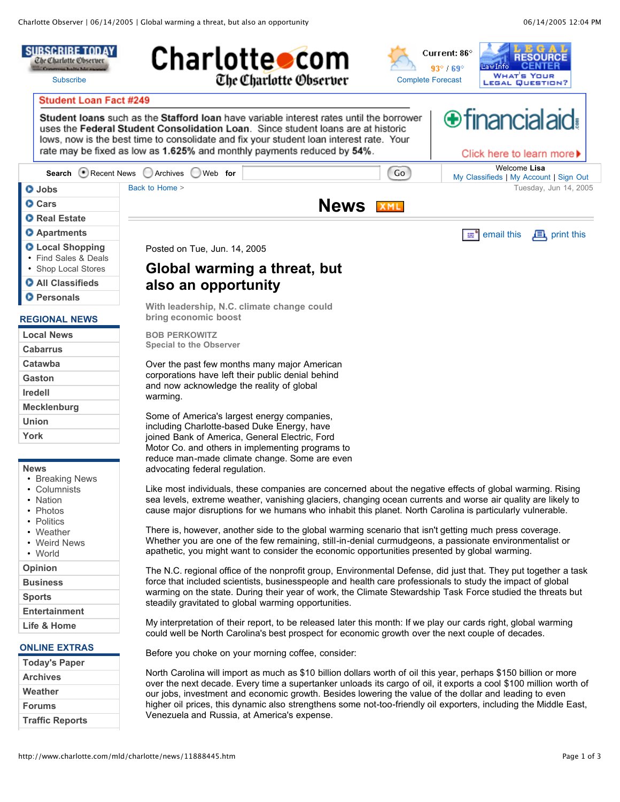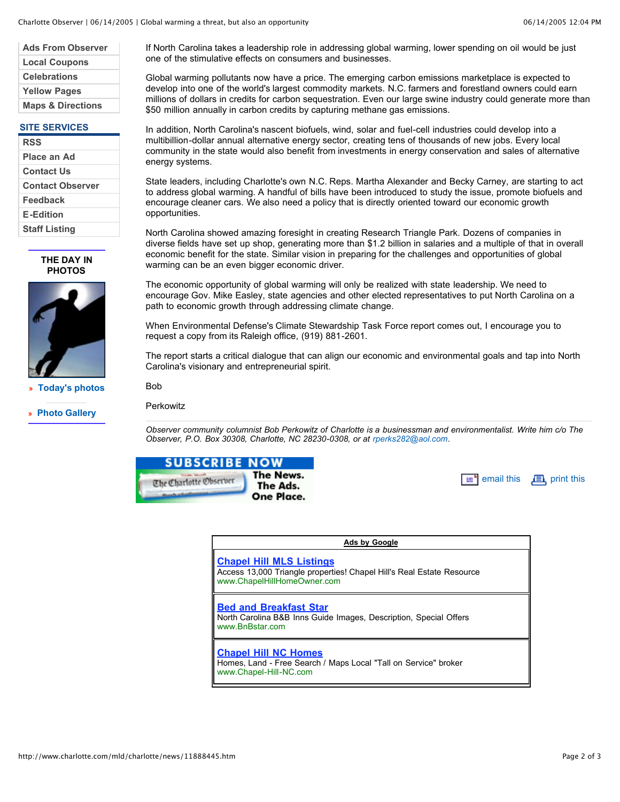| <b>Ads From Observer</b>     |
|------------------------------|
| <b>Local Coupons</b>         |
| <b>Celebrations</b>          |
| <b>Yellow Pages</b>          |
| <b>Maps &amp; Directions</b> |
|                              |

## **SITE SERVICES**

| <b>RSS</b>              |
|-------------------------|
| Place an Ad             |
| Contact Us              |
| <b>Contact Observer</b> |
| <b>Feedback</b>         |
| <b>E-Edition</b>        |
| <b>Staff Listing</b>    |

**THE DAY IN PHOTOS**



**» Today's photos**

**» Photo Gallery**

If North Carolina takes a leadership role in addressing global warming, lower spending on oil would be just one of the stimulative effects on consumers and businesses.

Global warming pollutants now have a price. The emerging carbon emissions marketplace is expected to develop into one of the world's largest commodity markets. N.C. farmers and forestland owners could earn millions of dollars in credits for carbon sequestration. Even our large swine industry could generate more than \$50 million annually in carbon credits by capturing methane gas emissions.

In addition, North Carolina's nascent biofuels, wind, solar and fuel-cell industries could develop into a multibillion-dollar annual alternative energy sector, creating tens of thousands of new jobs. Every local community in the state would also benefit from investments in energy conservation and sales of alternative energy systems.

State leaders, including Charlotte's own N.C. Reps. Martha Alexander and Becky Carney, are starting to act to address global warming. A handful of bills have been introduced to study the issue, promote biofuels and encourage cleaner cars. We also need a policy that is directly oriented toward our economic growth opportunities.

North Carolina showed amazing foresight in creating Research Triangle Park. Dozens of companies in diverse fields have set up shop, generating more than \$1.2 billion in salaries and a multiple of that in overall economic benefit for the state. Similar vision in preparing for the challenges and opportunities of global warming can be an even bigger economic driver.

The economic opportunity of global warming will only be realized with state leadership. We need to encourage Gov. Mike Easley, state agencies and other elected representatives to put North Carolina on a path to economic growth through addressing climate change.

When Environmental Defense's Climate Stewardship Task Force report comes out, I encourage you to request a copy from its Raleigh office, (919) 881-2601.

The report starts a critical dialogue that can align our economic and environmental goals and tap into North Carolina's visionary and entrepreneurial spirit.

**Bob** 

**Perkowitz** 

*Observer community columnist Bob Perkowitz of Charlotte is a businessman and environmentalist. Write him c/o The Observer, P.O. Box 30308, Charlotte, NC 28230-0308, or at rperks282@aol.com.*



| $\equiv$ <sup><math>\blacksquare</math></sup> email this |  | $\mathbf{E}$ , print this |
|----------------------------------------------------------|--|---------------------------|
|----------------------------------------------------------|--|---------------------------|